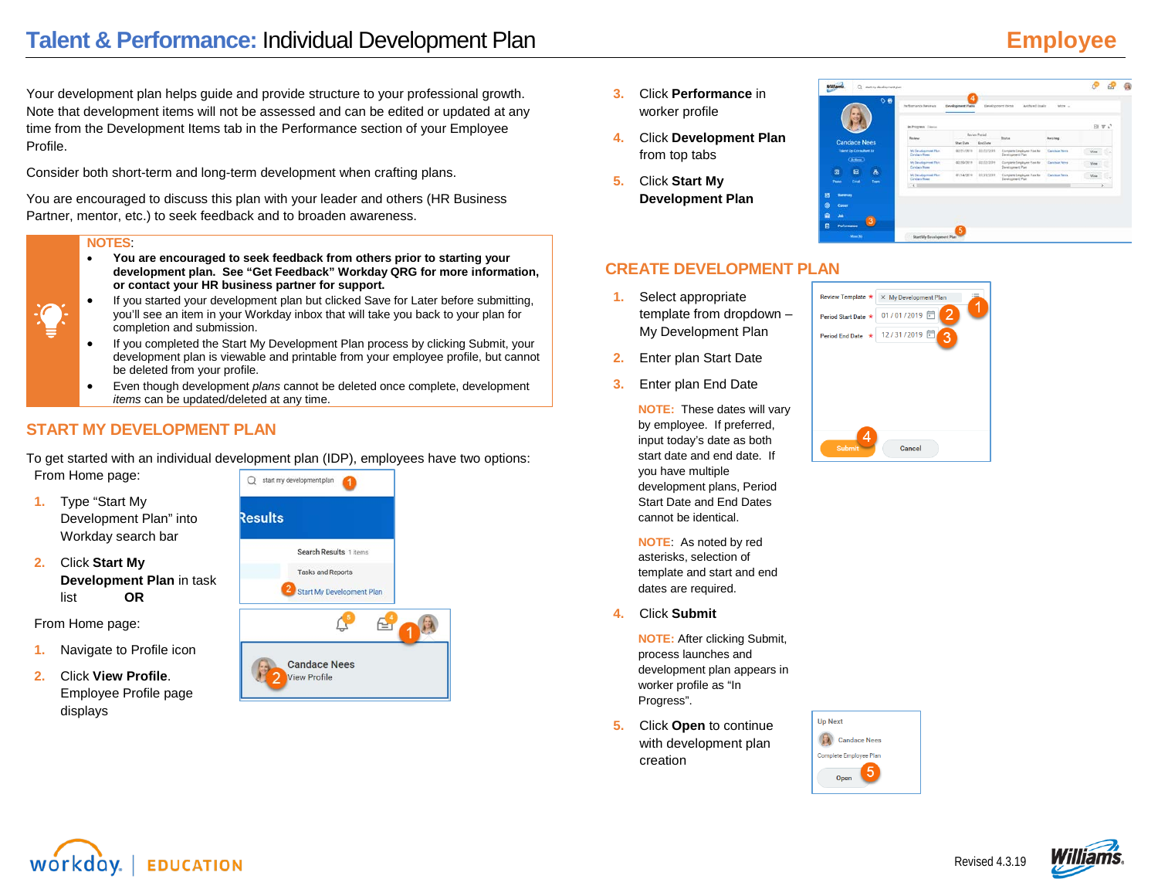Your development plan helps guide and provide structure to your professional growth. Note that development items will not be assessed and can be edited or updated at any time from the Development Items tab in the Performance section of your Employee Profile.

Consider both short-term and long-term development when crafting plans.

You are encouraged to discuss this plan with your leader and others (HR Business Partner, mentor, etc.) to seek feedback and to broaden awareness.

### **NOTES**:

- **You are encouraged to seek feedback from others prior to starting your development plan. See "Get Feedback" Workday QRG for more information, or contact your HR business partner for support.**
- If you started your development plan but clicked Save for Later before submitting. you'll see an item in your Workday inbox that will take you back to your plan for completion and submission.
- If you completed the Start My Development Plan process by clicking Submit, your development plan is viewable and printable from your employee profile, but cannot be deleted from your profile.
- Even though development *plans* cannot be deleted once complete, development *items* can be updated/deleted at any time.

## **START MY DEVELOPMENT PLAN**

To get started with an individual development plan (IDP), employees have two options: From Home page:

- **1.** Type "Start My Development Plan" into Workday search bar
- **2.** Click **Start My Development Plan** in task list **OR**

From Home page:

- **1.** Navigate to Profile icon
- **2.** Click **View Profile**. Employee Profile page displays



- **3.** Click **Performance** in worker profile
- **4.** Click **Development Plan** from top tabs
- **5.** Click **Start My Development Plan**



## **CREATE DEVELOPMENT PLAN**

- **1.** Select appropriate template from dropdown – My Development Plan
- **2.** Enter plan Start Date
- **3.** Enter plan End Date

**NOTE:** These dates will vary by employee. If preferred, input today's date as both start date and end date. If you have multiple development plans, Period Start Date and End Dates cannot be identical.

**NOTE**: As noted by red asterisks, selection of template and start and end dates are required.

**4.** Click **Submit**

**NOTE:** After clicking Submit, process launches and development plan appears in worker profile as "In Progress".

**5.** Click **Open** to continue with development plan creation







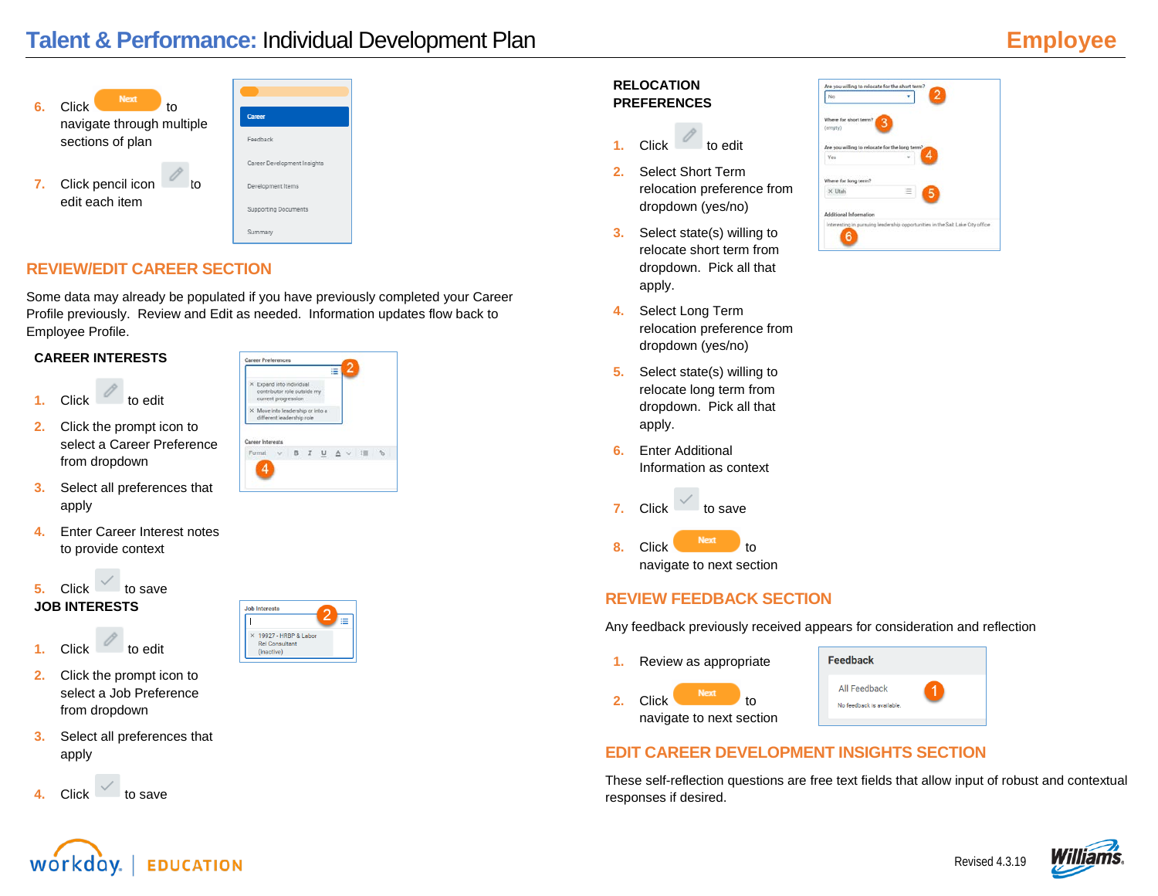| <b>Next</b><br>Click<br>t٥<br>navigate through multiple | Career<br>Feedback           |
|---------------------------------------------------------|------------------------------|
| sections of plan                                        | Career Develo                |
| Click pencil icon<br>t٥<br>edit each item               | Development<br>Supporting Dr |

# oment Insights tems Summary

## **REVIEW/EDIT CAREER SECTION**

Some data may already be populated if you have previously completed your Career Profile previously. Review and Edit as needed. Information updates flow back to Employee Profile.

loh Interests

× 19927 - HRBP & Labor **Rel Consultant** (inactive)

## **CAREER INTERESTS**

- **1.** Click to edit
- **2.** Click the prompt icon to select a Career Preference from dropdown
- **3.** Select all preferences that apply
- **4.** Enter Career Interest notes to provide context

**5.** Click to save **JOB INTERESTS**



- **2.** Click the prompt icon to select a Job Preference from dropdown
- **3.** Select all preferences that apply





## **1.** Click to edit

**RELOCATION PREFERENCES**

- **2.** Select Short Term relocation preference from dropdown (yes/no)
- **3.** Select state(s) willing to relocate short term from dropdown. Pick all that apply.
- **4.** Select Long Term relocation preference from dropdown (yes/no)
- **5.** Select state(s) willing to relocate long term from dropdown. Pick all that apply.
- **6.** Enter Additional Information as context



**8.** Click to to navigate to next section

## **REVIEW FEEDBACK SECTION**

Any feedback previously received appears for consideration and reflection

**1.** Review as appropriate

navigate to next section

**2.** Click to

**Feedback** All Feedback No feedback is available

Are you willing to relocate for the short ter

ing leadership opportunities in the Salt Lake City office

Where fo (empty) Are you Ves

Where for long term

 $\epsilon$ 

 $\times$  Utah Additional Informat

## **EDIT CAREER DEVELOPMENT INSIGHTS SECTION**

These self-reflection questions are free text fields that allow input of robust and contextual responses if desired.





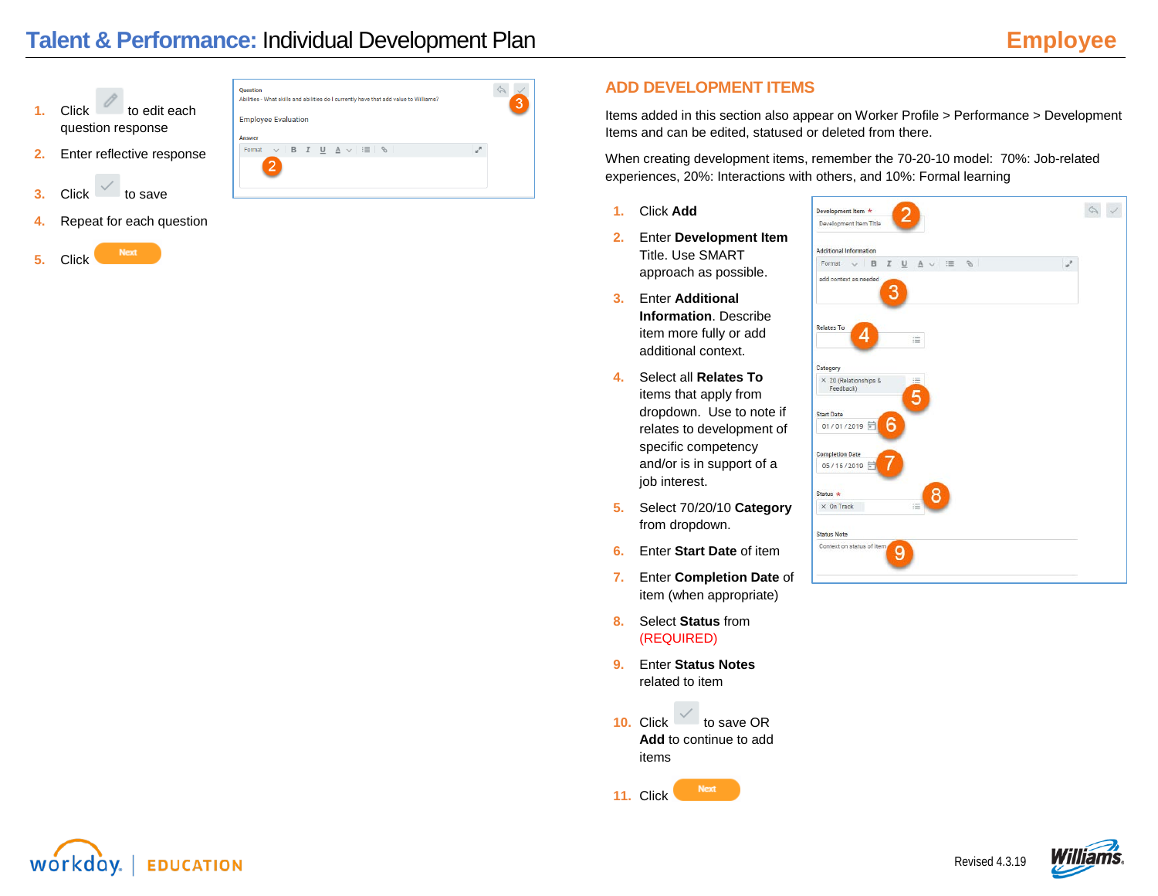

**4.** Repeat for each question



## **ADD DEVELOPMENT ITEMS**

Items added in this section also appear on Worker Profile > Performance > Development Items and can be edited, statused or deleted from there.

When creating development items, remember the 70-20-10 model: 70%: Job-related experiences, 20%: Interactions with others, and 10%: Formal learning

- **1.** Click **Add**
- **2.** Enter **Development Item** Title. Use SMART approach as possible.
- **3.** Enter **Additional Information**. Describe item more fully or add additional context.
- **4.** Select all **Relates To** items that apply from dropdown. Use to note if relates to development of specific competency and/or is in support of a job interest.
- **5.** Select 70/20/10 **Category** from dropdown.
- **6.** Enter **Start Date** of item
- **7.** Enter **Completion Date** of item (when appropriate)
- **8.** Select **Status** from (REQUIRED)
- **9.** Enter **Status Notes** related to item



**Next** 

**11.** Click